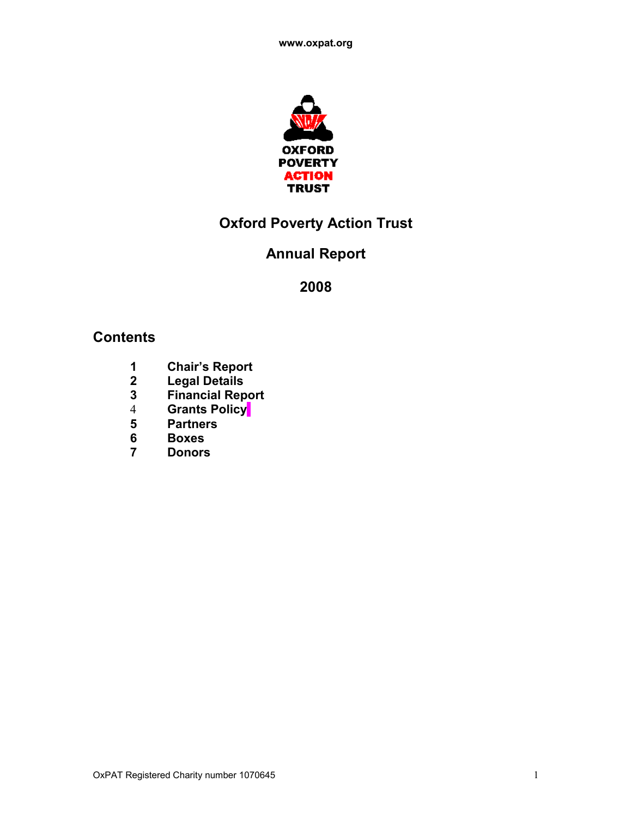

# **Oxford Poverty Action Trust**

# **Annual Report**

# **Contents**

- **Chair's Report**
- **Legal Details**
- **Financial Report**
- **Grants Policy**
- **Partners**
- **Boxes**
- **Donors**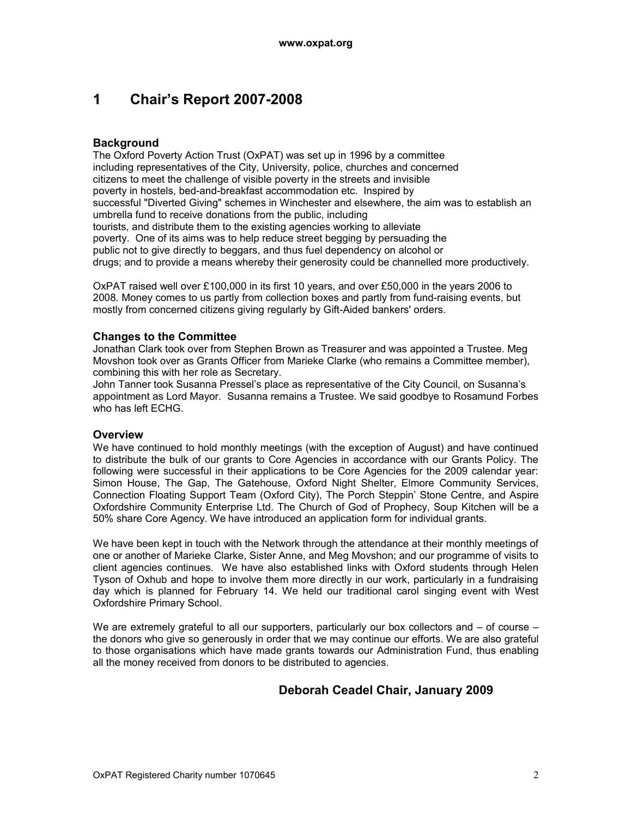# **1 Chair's Report 2007-2008**

### **Background**

The Oxford Poverty Action Trust (OxPAT) was set up in 1996 by a committee including representatives of the City, University, police, churches and concerned citizens to meet the challenge of visible poverty in the streets and invisible poverty in hostels, bed-and-breakfast accommodation etc. Inspired by successful "Diverted Giving" schemes in Winchester and elsewhere, the aim was to establish an umbrella fund to receive donations from the public, including tourists, and distribute them to the existing agencies working to alleviate poverty. One of its aims was to help reduce street begging by persuading the public not to give directly to beggars, and thus fuel dependency on alcohol or drugs; and to provide a means whereby their generosity could be channelled more productively.

OxPAT raised well over £100,000 in its first 10 years, and over £50,000 in the years 2006 to 2008. Money comes to us partly from collection boxes and partly from fund-raising events, but mostly from concerned citizens giving regularly by Gift-Aided bankers' orders.

#### **Changes to the Committee**

Jonathan Clark took over from Stephen Brown as Treasurer and was appointed a Trustee. Meg Movshon took over as Grants Officer from Marieke Clarke (who remains a Committee member), combining this with her role as Secretary.

John Tanner took Susanna Pressel's place as representative of the City Council, on Susanna's appointment as Lord Mayor. Susanna remains a Trustee. We said goodbye to Rosamund Forbes who has left ECHG.

### **Overview**

We have continued to hold monthly meetings (with the exception of August) and have continued to distribute the bulk of our grants to Core Agencies in accordance with our Grants Policy. The following were successful in their applications to be Core Agencies for the 2009 calendar year: Simon House, The Gap, The Gatehouse, Oxford Night Shelter, Elmore Community Services, Connection Floating Support Team (Oxford City), The Porch Steppin' Stone Centre, and Aspire Oxfordshire Community Enterprise Ltd. The Church of God of Prophecy, Soup Kitchen will be a 50% share Core Agency. We have introduced an application form for individual grants.

We have been kept in touch with the Network through the attendance at their monthly meetings of one or another of Marieke Clarke, Sister Anne, and Meg Movshon; and our programme of visits to client agencies continues. We have also established links with Oxford students through Helen Tyson of Oxhub and hope to involve them more directly in our work, particularly in a fundraising day which is planned for February 14. We held our traditional carol singing event with West Oxfordshire Primary School.

We are extremely grateful to all our supporters, particularly our box collectors and – of course – the donors who give so generously in order that we may continue our efforts. We are also grateful to those organisations which have made grants towards our Administration Fund, thus enabling all the money received from donors to be distributed to agencies.

## **Deborah Ceadel Chair, January 2009**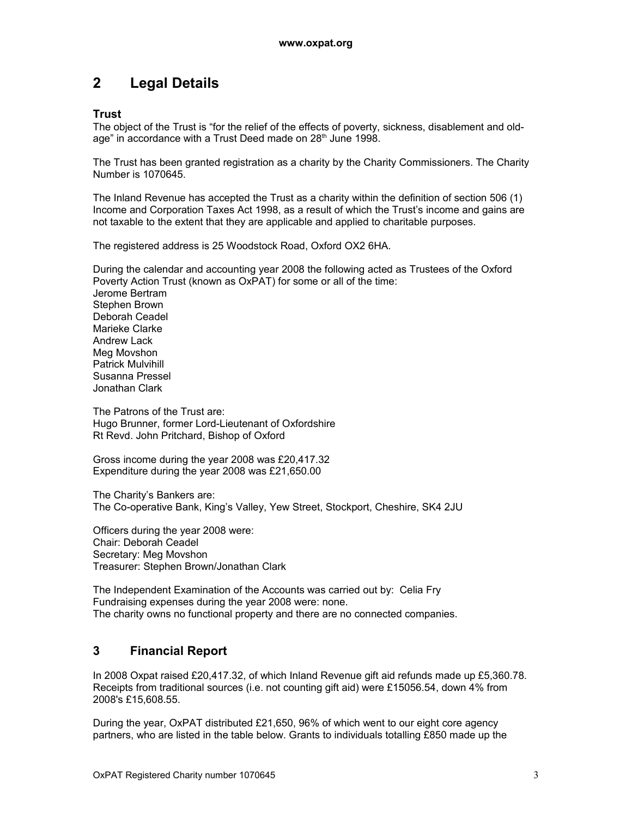# **2 Legal Details**

### **Trust**

The object of the Trust is "for the relief of the effects of poverty, sickness, disablement and oldage" in accordance with a Trust Deed made on 28<sup>th</sup> June 1998.

The Trust has been granted registration as a charity by the Charity Commissioners. The Charity Number is 1070645.

The Inland Revenue has accepted the Trust as a charity within the definition of section 506 (1) Income and Corporation Taxes Act 1998, as a result of which the Trust's income and gains are not taxable to the extent that they are applicable and applied to charitable purposes.

The registered address is 25 Woodstock Road, Oxford OX2 6HA.

During the calendar and accounting year 2008 the following acted as Trustees of the Oxford Poverty Action Trust (known as OxPAT) for some or all of the time: Jerome Bertram Stephen Brown Deborah Ceadel Marieke Clarke Andrew Lack Meg Movshon Patrick Mulvihill Susanna Pressel Jonathan Clark

The Patrons of the Trust are: Hugo Brunner, former Lord-Lieutenant of Oxfordshire Rt Revd. John Pritchard, Bishop of Oxford

Gross income during the year 2008 was £20,417.32 Expenditure during the year 2008 was £21,650.00

The Charity's Bankers are: The Co-operative Bank, King's Valley, Yew Street, Stockport, Cheshire, SK4 2JU

Officers during the year 2008 were: Chair: Deborah Ceadel Secretary: Meg Movshon Treasurer: Stephen Brown/Jonathan Clark

The Independent Examination of the Accounts was carried out by: Celia Fry Fundraising expenses during the year 2008 were: none. The charity owns no functional property and there are no connected companies.

## **3 Financial Report**

In 2008 Oxpat raised £20,417.32, of which Inland Revenue gift aid refunds made up £5,360.78. Receipts from traditional sources (i.e. not counting gift aid) were £15056.54, down 4% from 2008's £15,608.55.

During the year, OxPAT distributed £21,650, 96% of which went to our eight core agency partners, who are listed in the table below. Grants to individuals totalling £850 made up the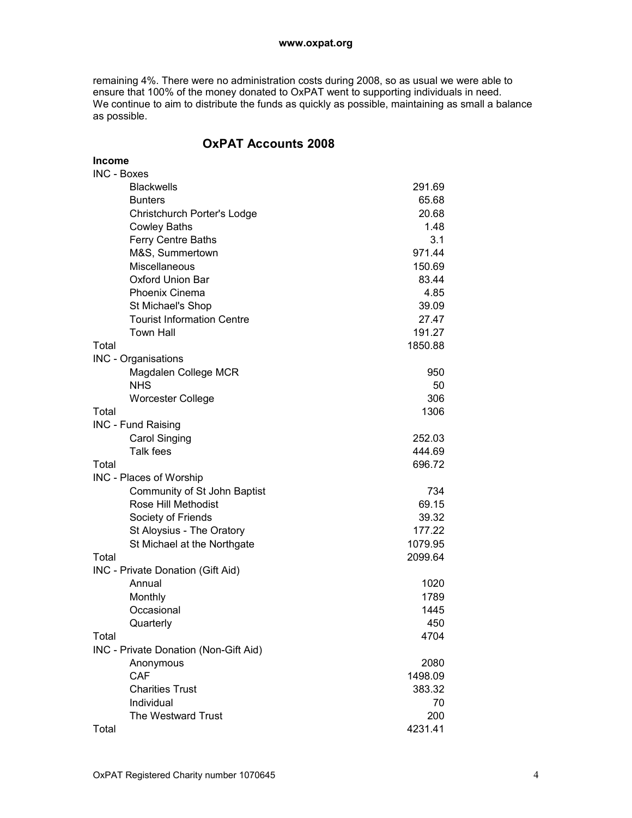remaining 4%. There were no administration costs during 2008, so as usual we were able to ensure that 100% of the money donated to OxPAT went to supporting individuals in need. We continue to aim to distribute the funds as quickly as possible, maintaining as small a balance as possible.

## **OxPAT Accounts 2008**

| <b>Income</b>                         |         |
|---------------------------------------|---------|
| <b>INC - Boxes</b>                    |         |
| <b>Blackwells</b>                     | 291.69  |
| <b>Bunters</b>                        | 65.68   |
| Christchurch Porter's Lodge           | 20.68   |
| <b>Cowley Baths</b>                   | 1.48    |
| Ferry Centre Baths                    | 3.1     |
| M&S, Summertown                       | 971.44  |
| Miscellaneous                         | 150.69  |
| Oxford Union Bar                      | 83.44   |
| <b>Phoenix Cinema</b>                 | 4.85    |
| St Michael's Shop                     | 39.09   |
| <b>Tourist Information Centre</b>     | 27.47   |
| <b>Town Hall</b>                      | 191.27  |
| Total                                 | 1850.88 |
| INC - Organisations                   |         |
| Magdalen College MCR                  | 950     |
| <b>NHS</b>                            | 50      |
| <b>Worcester College</b>              | 306     |
| Total                                 | 1306    |
| INC - Fund Raising                    |         |
| <b>Carol Singing</b>                  | 252.03  |
| Talk fees                             | 444.69  |
| Total                                 | 696.72  |
| INC - Places of Worship               |         |
| Community of St John Baptist          | 734     |
| Rose Hill Methodist                   | 69.15   |
| Society of Friends                    | 39.32   |
| St Aloysius - The Oratory             | 177.22  |
| St Michael at the Northgate           | 1079.95 |
| Total                                 | 2099.64 |
| INC - Private Donation (Gift Aid)     |         |
| Annual                                | 1020    |
| Monthly                               | 1789    |
| Occasional                            | 1445    |
| Quarterly                             | 450     |
| Total                                 | 4704    |
| INC - Private Donation (Non-Gift Aid) |         |
| Anonymous                             | 2080    |
| CAF                                   | 1498.09 |
| <b>Charities Trust</b>                | 383.32  |
| Individual                            | 70      |
| The Westward Trust                    | 200     |
| Total                                 | 4231.41 |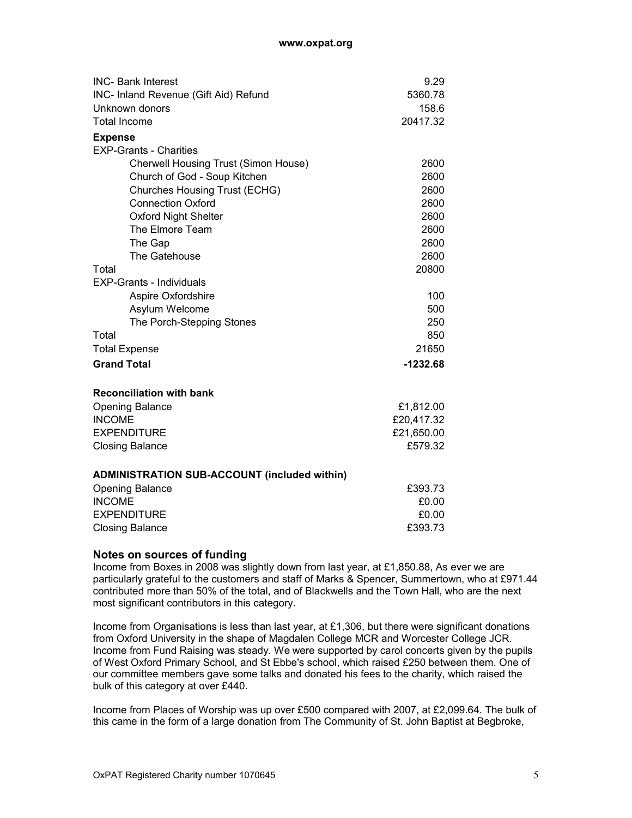| <b>INC- Bank Interest</b>                           | 9.29       |
|-----------------------------------------------------|------------|
| INC- Inland Revenue (Gift Aid) Refund               | 5360.78    |
| Unknown donors                                      | 158.6      |
| <b>Total Income</b>                                 | 20417.32   |
| <b>Expense</b>                                      |            |
| <b>EXP-Grants - Charities</b>                       |            |
| Cherwell Housing Trust (Simon House)                | 2600       |
| Church of God - Soup Kitchen                        | 2600       |
| Churches Housing Trust (ECHG)                       | 2600       |
| <b>Connection Oxford</b>                            | 2600       |
| <b>Oxford Night Shelter</b>                         | 2600       |
| The Elmore Team                                     | 2600       |
| The Gap                                             | 2600       |
| The Gatehouse                                       | 2600       |
| Total                                               | 20800      |
| <b>EXP-Grants - Individuals</b>                     |            |
| Aspire Oxfordshire                                  | 100        |
| Asylum Welcome                                      | 500        |
| The Porch-Stepping Stones                           | 250        |
| Total                                               | 850        |
| <b>Total Expense</b>                                | 21650      |
| <b>Grand Total</b>                                  | $-1232.68$ |
|                                                     |            |
| <b>Reconciliation with bank</b>                     |            |
| <b>Opening Balance</b>                              | £1,812.00  |
| <b>INCOME</b>                                       | £20,417.32 |
| <b>EXPENDITURE</b>                                  | £21,650.00 |
| <b>Closing Balance</b>                              | £579.32    |
|                                                     |            |
| <b>ADMINISTRATION SUB-ACCOUNT (included within)</b> |            |
| <b>Opening Balance</b>                              | £393.73    |
| <b>INCOME</b>                                       | £0.00      |
| <b>EXPENDITURE</b>                                  | £0.00      |
| <b>Closing Balance</b>                              | £393.73    |

#### **Notes on sources of funding**

Income from Boxes in 2008 was slightly down from last year, at £1,850.88, As ever we are particularly grateful to the customers and staff of Marks & Spencer, Summertown, who at £971.44 contributed more than 50% of the total, and of Blackwells and the Town Hall, who are the next most significant contributors in this category.

Income from Organisations is less than last year, at  $£1,306$ , but there were significant donations from Oxford University in the shape of Magdalen College MCR and Worcester College JCR. Income from Fund Raising was steady. We were supported by carol concerts given by the pupils of West Oxford Primary School, and St Ebbe's school, which raised £250 between them. One of our committee members gave some talks and donated his fees to the charity, which raised the bulk of this category at over £440.

Income from Places of Worship was up over £500 compared with 2007, at £2,099.64. The bulk of this came in the form of a large donation from The Community of St. John Baptist at Begbroke,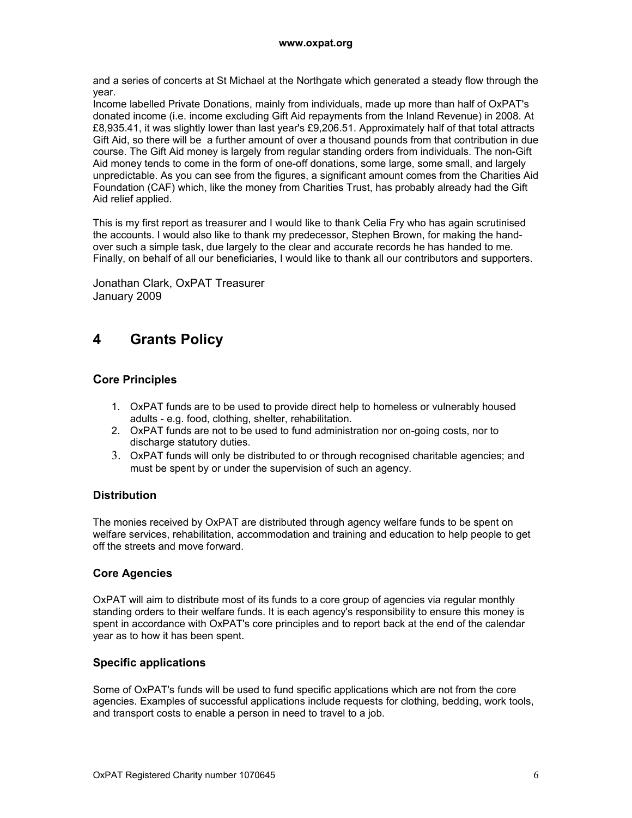and a series of concerts at St Michael at the Northgate which generated a steady flow through the year.

Income labelled Private Donations, mainly from individuals, made up more than half of OxPAT's donated income (i.e. income excluding Gift Aid repayments from the Inland Revenue) in 2008. At £8,935.41, it was slightly lower than last year's £9,206.51. Approximately half of that total attracts Gift Aid, so there will be a further amount of over a thousand pounds from that contribution in due course. The Gift Aid money is largely from regular standing orders from individuals. The non-Gift Aid money tends to come in the form of one-off donations, some large, some small, and largely unpredictable. As you can see from the figures, a significant amount comes from the Charities Aid Foundation (CAF) which, like the money from Charities Trust, has probably already had the Gift Aid relief applied.

This is my first report as treasurer and I would like to thank Celia Fry who has again scrutinised the accounts. I would also like to thank my predecessor, Stephen Brown, for making the handover such a simple task, due largely to the clear and accurate records he has handed to me. Finally, on behalf of all our beneficiaries, I would like to thank all our contributors and supporters.

Jonathan Clark, OxPAT Treasurer January 2009

## **4 Grants Policy**

## **Core Principles**

- 1. OxPAT funds are to be used to provide direct help to homeless or vulnerably housed adults - e.g. food, clothing, shelter, rehabilitation.
- 2. OxPAT funds are not to be used to fund administration nor on-going costs, nor to discharge statutory duties.
- 3. OxPAT funds will only be distributed to or through recognised charitable agencies; and must be spent by or under the supervision of such an agency.

### **Distribution**

The monies received by OxPAT are distributed through agency welfare funds to be spent on welfare services, rehabilitation, accommodation and training and education to help people to get off the streets and move forward.

## **Core Agencies**

OxPAT will aim to distribute most of its funds to a core group of agencies via regular monthly standing orders to their welfare funds. It is each agency's responsibility to ensure this money is spent in accordance with OxPAT's core principles and to report back at the end of the calendar year as to how it has been spent.

## **Specific applications**

Some of OxPAT's funds will be used to fund specific applications which are not from the core agencies. Examples of successful applications include requests for clothing, bedding, work tools, and transport costs to enable a person in need to travel to a job.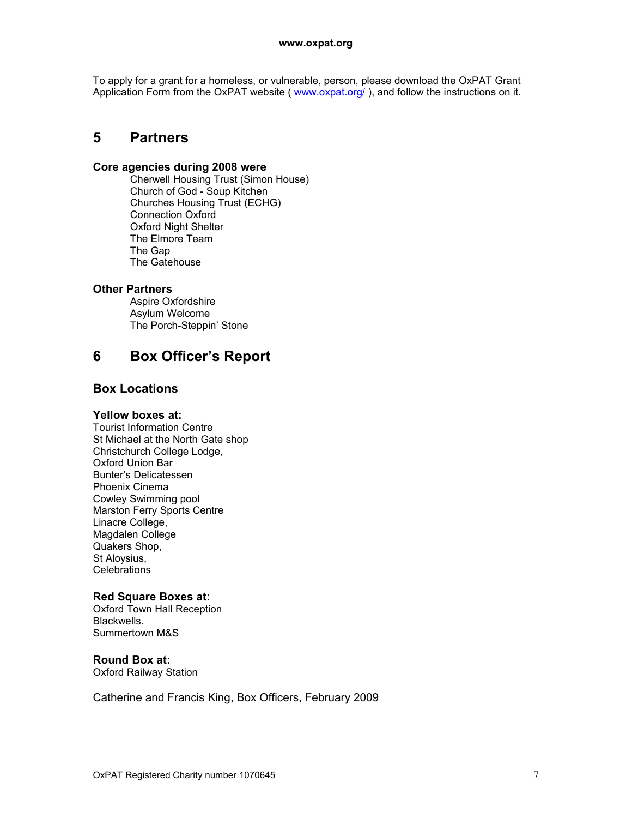To apply for a grant for a homeless, or vulnerable, person, please download the OxPAT Grant Application Form from the OxPAT website ( www.oxpat.org/), and follow the instructions on it.

## **5 Partners**

#### **Core agencies during 2008 were**

Cherwell Housing Trust (Simon House) Church of God - Soup Kitchen Churches Housing Trust (ECHG) Connection Oxford Oxford Night Shelter The Elmore Team The Gap The Gatehouse

### **Other Partners**

Aspire Oxfordshire Asylum Welcome The Porch-Steppin' Stone

## **6 Box Officer's Report**

### **Box Locations**

#### **Yellow boxes at:**

Tourist Information Centre St Michael at the North Gate shop Christchurch College Lodge, Oxford Union Bar Bunter's Delicatessen Phoenix Cinema Cowley Swimming pool Marston Ferry Sports Centre Linacre College, Magdalen College Quakers Shop, St Aloysius, Celebrations

#### **Red Square Boxes at:**

Oxford Town Hall Reception Blackwells. Summertown M&S

### **Round Box at:**

Oxford Railway Station

Catherine and Francis King, Box Officers, February 2009